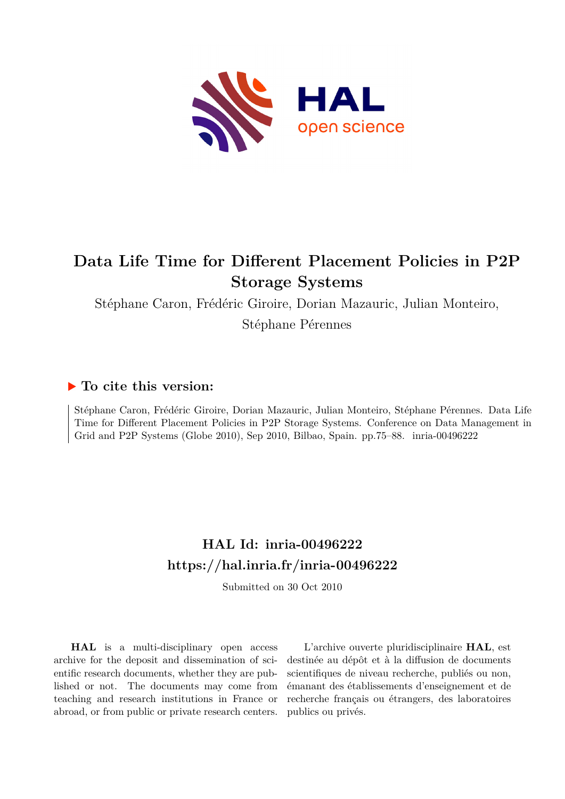

# **Data Life Time for Different Placement Policies in P2P Storage Systems**

Stéphane Caron, Frédéric Giroire, Dorian Mazauric, Julian Monteiro,

Stéphane Pérennes

# **To cite this version:**

Stéphane Caron, Frédéric Giroire, Dorian Mazauric, Julian Monteiro, Stéphane Pérennes. Data Life Time for Different Placement Policies in P2P Storage Systems. Conference on Data Management in Grid and P2P Systems (Globe 2010), Sep 2010, Bilbao, Spain. pp.75–88. inria-00496222

# **HAL Id: inria-00496222 <https://hal.inria.fr/inria-00496222>**

Submitted on 30 Oct 2010

**HAL** is a multi-disciplinary open access archive for the deposit and dissemination of scientific research documents, whether they are published or not. The documents may come from teaching and research institutions in France or abroad, or from public or private research centers.

L'archive ouverte pluridisciplinaire **HAL**, est destinée au dépôt et à la diffusion de documents scientifiques de niveau recherche, publiés ou non, émanant des établissements d'enseignement et de recherche français ou étrangers, des laboratoires publics ou privés.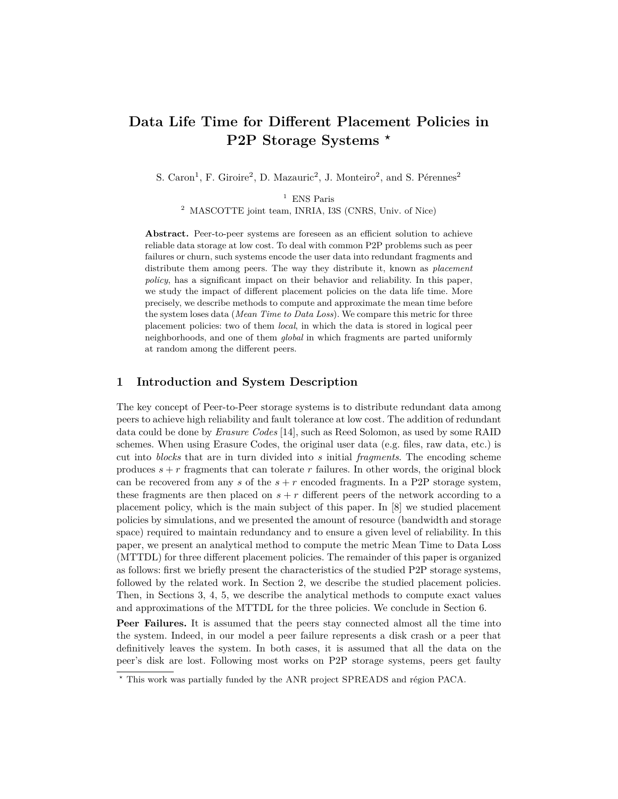# **Data Life Time for Different Placement Policies in P2P Storage Systems** *<sup>⋆</sup>*

S. Caron<sup>1</sup>, F. Giroire<sup>2</sup>, D. Mazauric<sup>2</sup>, J. Monteiro<sup>2</sup>, and S. Pérennes<sup>2</sup>

 $1$  ENS Paris

<sup>2</sup> MASCOTTE joint team, INRIA, I3S (CNRS, Univ. of Nice)

**Abstract.** Peer-to-peer systems are foreseen as an efficient solution to achieve reliable data storage at low cost. To deal with common P2P problems such as peer failures or churn, such systems encode the user data into redundant fragments and distribute them among peers. The way they distribute it, known as *placement policy*, has a significant impact on their behavior and reliability. In this paper, we study the impact of different placement policies on the data life time. More precisely, we describe methods to compute and approximate the mean time before the system loses data (*Mean Time to Data Loss*). We compare this metric for three placement policies: two of them *local*, in which the data is stored in logical peer neighborhoods, and one of them *global* in which fragments are parted uniformly at random among the different peers.

## **1 Introduction and System Description**

The key concept of Peer-to-Peer storage systems is to distribute redundant data among peers to achieve high reliability and fault tolerance at low cost. The addition of redundant data could be done by *Erasure Codes* [14], such as Reed Solomon, as used by some RAID schemes. When using Erasure Codes, the original user data (e.g. files, raw data, etc.) is cut into *blocks* that are in turn divided into *s* initial *fragments*. The encoding scheme produces  $s + r$  fragments that can tolerate r failures. In other words, the original block can be recovered from any  $s$  of the  $s + r$  encoded fragments. In a P2P storage system, these fragments are then placed on  $s + r$  different peers of the network according to a placement policy, which is the main subject of this paper. In [8] we studied placement policies by simulations, and we presented the amount of resource (bandwidth and storage space) required to maintain redundancy and to ensure a given level of reliability. In this paper, we present an analytical method to compute the metric Mean Time to Data Loss (MTTDL) for three different placement policies. The remainder of this paper is organized as follows: first we briefly present the characteristics of the studied P2P storage systems, followed by the related work. In Section 2, we describe the studied placement policies. Then, in Sections 3, 4, 5, we describe the analytical methods to compute exact values and approximations of the MTTDL for the three policies. We conclude in Section 6.

**Peer Failures.** It is assumed that the peers stay connected almost all the time into the system. Indeed, in our model a peer failure represents a disk crash or a peer that definitively leaves the system. In both cases, it is assumed that all the data on the peer's disk are lost. Following most works on P2P storage systems, peers get faulty

*<sup>⋆</sup>* This work was partially funded by the ANR project SPREADS and région PACA.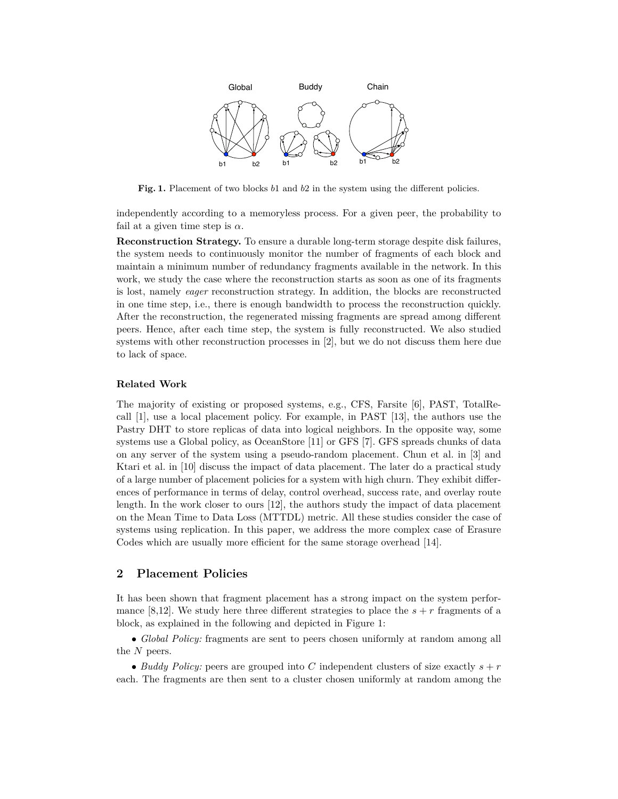

**Fig. 1.** Placement of two blocks *b*1 and *b*2 in the system using the different policies.

independently according to a memoryless process. For a given peer, the probability to fail at a given time step is  $\alpha$ .

**Reconstruction Strategy.** To ensure a durable long-term storage despite disk failures, the system needs to continuously monitor the number of fragments of each block and maintain a minimum number of redundancy fragments available in the network. In this work, we study the case where the reconstruction starts as soon as one of its fragments is lost, namely *eager* reconstruction strategy. In addition, the blocks are reconstructed in one time step, i.e., there is enough bandwidth to process the reconstruction quickly. After the reconstruction, the regenerated missing fragments are spread among different peers. Hence, after each time step, the system is fully reconstructed. We also studied systems with other reconstruction processes in [2], but we do not discuss them here due to lack of space.

#### **Related Work**

The majority of existing or proposed systems, e.g., CFS, Farsite [6], PAST, TotalRecall [1], use a local placement policy. For example, in PAST [13], the authors use the Pastry DHT to store replicas of data into logical neighbors. In the opposite way, some systems use a Global policy, as OceanStore [11] or GFS [7]. GFS spreads chunks of data on any server of the system using a pseudo-random placement. Chun et al. in [3] and Ktari et al. in [10] discuss the impact of data placement. The later do a practical study of a large number of placement policies for a system with high churn. They exhibit differences of performance in terms of delay, control overhead, success rate, and overlay route length. In the work closer to ours [12], the authors study the impact of data placement on the Mean Time to Data Loss (MTTDL) metric. All these studies consider the case of systems using replication. In this paper, we address the more complex case of Erasure Codes which are usually more efficient for the same storage overhead [14].

### **2 Placement Policies**

It has been shown that fragment placement has a strong impact on the system performance [8,12]. We study here three different strategies to place the  $s + r$  fragments of a block, as explained in the following and depicted in Figure 1:

• *Global Policy:* fragments are sent to peers chosen uniformly at random among all the *N* peers.

• *Buddy Policy:* peers are grouped into *C* independent clusters of size exactly  $s + r$ each. The fragments are then sent to a cluster chosen uniformly at random among the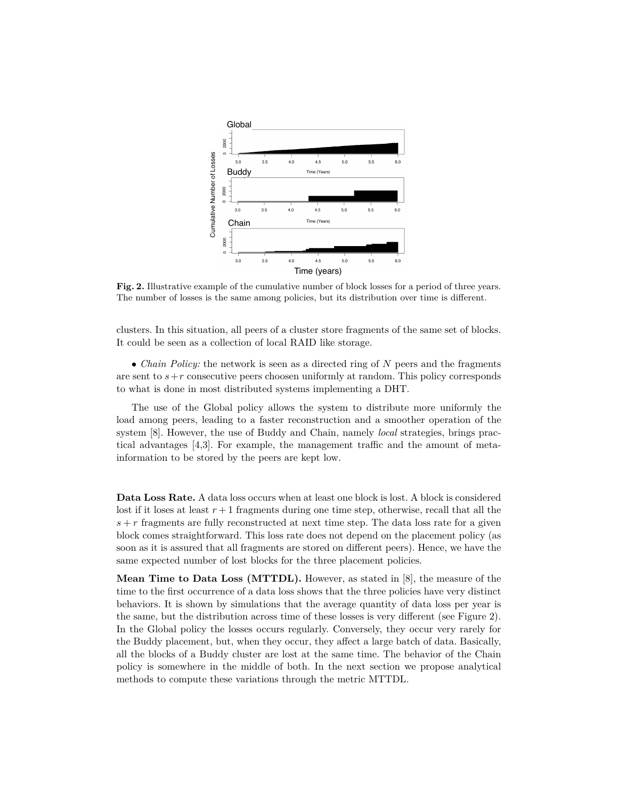

**Fig. 2.** Illustrative example of the cumulative number of block losses for a period of three years. The number of losses is the same among policies, but its distribution over time is different.

clusters. In this situation, all peers of a cluster store fragments of the same set of blocks. It could be seen as a collection of local RAID like storage.

• *Chain Policy:* the network is seen as a directed ring of *N* peers and the fragments are sent to  $s+r$  consecutive peers choosen uniformly at random. This policy corresponds to what is done in most distributed systems implementing a DHT.

The use of the Global policy allows the system to distribute more uniformly the load among peers, leading to a faster reconstruction and a smoother operation of the system [8]. However, the use of Buddy and Chain, namely *local* strategies, brings practical advantages [4,3]. For example, the management traffic and the amount of metainformation to be stored by the peers are kept low.

**Data Loss Rate.** A data loss occurs when at least one block is lost. A block is considered lost if it loses at least  $r + 1$  fragments during one time step, otherwise, recall that all the  $s + r$  fragments are fully reconstructed at next time step. The data loss rate for a given block comes straightforward. This loss rate does not depend on the placement policy (as soon as it is assured that all fragments are stored on different peers). Hence, we have the same expected number of lost blocks for the three placement policies.

**Mean Time to Data Loss (MTTDL).** However, as stated in [8], the measure of the time to the first occurrence of a data loss shows that the three policies have very distinct behaviors. It is shown by simulations that the average quantity of data loss per year is the same, but the distribution across time of these losses is very different (see Figure 2). In the Global policy the losses occurs regularly. Conversely, they occur very rarely for the Buddy placement, but, when they occur, they affect a large batch of data. Basically, all the blocks of a Buddy cluster are lost at the same time. The behavior of the Chain policy is somewhere in the middle of both. In the next section we propose analytical methods to compute these variations through the metric MTTDL.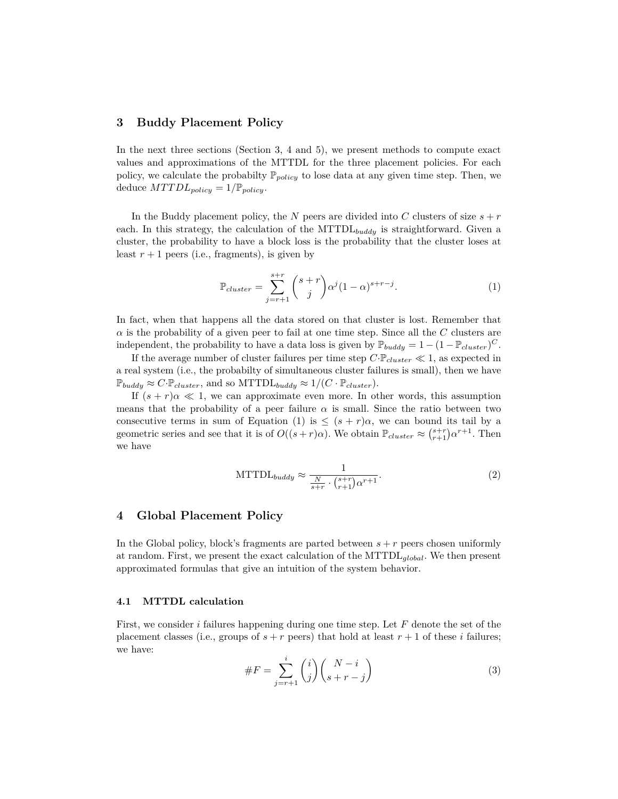### **3 Buddy Placement Policy**

In the next three sections (Section 3, 4 and 5), we present methods to compute exact values and approximations of the MTTDL for the three placement policies. For each policy, we calculate the probabilty P*policy* to lose data at any given time step. Then, we  $deduce \, \, \text{MTT} \, \text{DL}_{\text{policy}} = 1/\mathbb{P}_{\text{policy}}.$ 

In the Buddy placement policy, the *N* peers are divided into *C* clusters of size  $s + r$ each. In this strategy, the calculation of the MTTDL*buddy* is straightforward. Given a cluster, the probability to have a block loss is the probability that the cluster loses at least  $r + 1$  peers (i.e., fragments), is given by

$$
\mathbb{P}_{cluster} = \sum_{j=r+1}^{s+r} {s+r \choose j} \alpha^j (1-\alpha)^{s+r-j}.
$$
 (1)

In fact, when that happens all the data stored on that cluster is lost. Remember that  $\alpha$  is the probability of a given peer to fail at one time step. Since all the  $C$  clusters are independent, the probability to have a data loss is given by  $\mathbb{P}_{\text{buddy}} = 1 - (1 - \mathbb{P}_{\text{cluster}})^C$ .

If the average number of cluster failures per time step  $C \cdot \mathbb{P}_{cluster} \ll 1$ , as expected in a real system (i.e., the probabilty of simultaneous cluster failures is small), then we have  $\mathbb{P}_{\text{buddy}} \approx C \cdot \mathbb{P}_{\text{cluster}}$ , and so MTTDL<sub>buddy</sub>  $\approx 1/(C \cdot \mathbb{P}_{\text{cluster}})$ .

If  $(s + r)\alpha \ll 1$ , we can approximate even more. In other words, this assumption means that the probability of a peer failure  $\alpha$  is small. Since the ratio between two consecutive terms in sum of Equation (1) is  $\leq (s+r)\alpha$ , we can bound its tail by a geometric series and see that it is of  $O((s+r)\alpha)$ . We obtain  $\mathbb{P}_{cluster} \approx \binom{s+r}{r+1} \alpha^{r+1}$ . Then we have

$$
\text{MTTDL}_{\text{buddy}} \approx \frac{1}{\frac{N}{s+r} \cdot {s+r \choose r+1} \alpha^{r+1}}.
$$
\n
$$
\tag{2}
$$

## **4 Global Placement Policy**

In the Global policy, block's fragments are parted between  $s + r$  peers chosen uniformly at random. First, we present the exact calculation of the MTTDL*global*. We then present approximated formulas that give an intuition of the system behavior.

#### **4.1 MTTDL calculation**

First, we consider *i* failures happening during one time step. Let *F* denote the set of the placement classes (i.e., groups of  $s + r$  peers) that hold at least  $r + 1$  of these *i* failures; we have:

$$
\#F = \sum_{j=r+1}^{i} {i \choose j} {N-i \choose s+r-j}
$$
\n(3)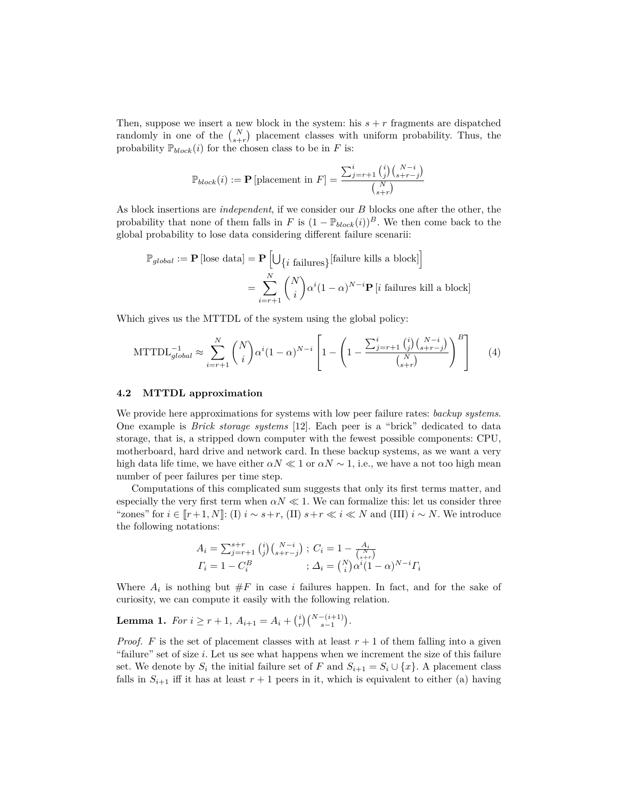Then, suppose we insert a new block in the system: his  $s + r$  fragments are dispatched randomly in one of the  $\binom{N}{s+r}$  placement classes with uniform probability. Thus, the probability  $\mathbb{P}_{block}(i)$  for the chosen class to be in *F* is:

$$
\mathbb{P}_{block}(i) := \mathbf{P}\left[\text{placement in } F\right] = \frac{\sum_{j=r+1}^{i} {i \choose j} {N-i \choose s+r-j}}{{N \choose s+r}}
$$

As block insertions are *independent*, if we consider our *B* blocks one after the other, the probability that none of them falls in *F* is  $(1 - \mathbb{P}_{block}(i))^B$ . We then come back to the global probability to lose data considering different failure scenarii:

$$
\mathbb{P}_{global} := \mathbf{P} \left[ \text{lose data} \right] = \mathbf{P} \left[ \bigcup_{\{i \text{ failures}\}} [\text{failure kills a block}] \right]
$$

$$
= \sum_{i=r+1}^{N} {N \choose i} \alpha^{i} (1-\alpha)^{N-i} \mathbf{P} \left[ i \text{ failures kill a block} \right]
$$

Which gives us the MTTDL of the system using the global policy:

$$
\text{MTTDL}_{global}^{-1} \approx \sum_{i=r+1}^{N} \binom{N}{i} \alpha^{i} (1-\alpha)^{N-i} \left[ 1 - \left( 1 - \frac{\sum_{j=r+1}^{i} \binom{i}{j} \binom{N-i}{s+r-j}}{\binom{N}{s+r}} \right)^{B} \right] \tag{4}
$$

#### **4.2 MTTDL approximation**

We provide here approximations for systems with low peer failure rates: *backup systems*. One example is *Brick storage systems* [12]. Each peer is a "brick" dedicated to data storage, that is, a stripped down computer with the fewest possible components: CPU, motherboard, hard drive and network card. In these backup systems, as we want a very high data life time, we have either  $\alpha N \ll 1$  or  $\alpha N \sim 1$ , i.e., we have a not too high mean number of peer failures per time step.

Computations of this complicated sum suggests that only its first terms matter, and especially the very first term when  $\alpha N \ll 1$ . We can formalize this: let us consider three "zones" for  $i \in [r+1, N]$ : (I)  $i \sim s+r$ , (II)  $s+r \ll i \ll N$  and (III)  $i \sim N$ . We introduce the following notations:

$$
A_i = \sum_{j=r+1}^{s+r} {i \choose j} {N-i \choose s+r-j} ; C_i = 1 - \frac{A_i}{N \choose s+r}
$$
  

$$
\Gamma_i = 1 - C_i^B ; A_i = {N \choose i} \alpha^i (1-\alpha)^{N-i} \Gamma_i
$$

Where  $A_i$  is nothing but  $\#F$  in case *i* failures happen. In fact, and for the sake of curiosity, we can compute it easily with the following relation.

**Lemma 1.** *For*  $i \geq r + 1$ ,  $A_{i+1} = A_i + {i \choose r} {N - (i+1) \choose s-1}$ *.*

*Proof.* F is the set of placement classes with at least  $r + 1$  of them falling into a given "failure" set of size *i*. Let us see what happens when we increment the size of this failure set. We denote by  $S_i$  the initial failure set of *F* and  $S_{i+1} = S_i \cup \{x\}$ . A placement class falls in  $S_{i+1}$  iff it has at least  $r+1$  peers in it, which is equivalent to either (a) having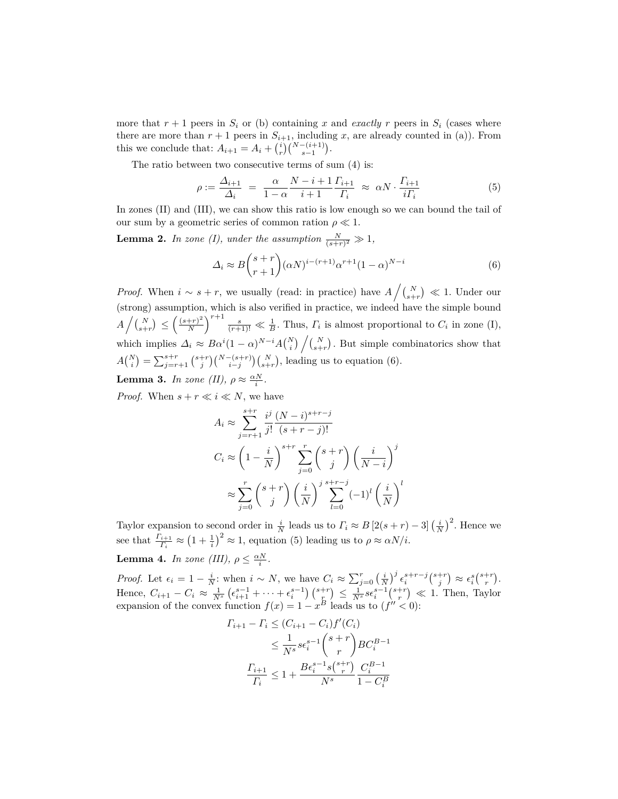more that  $r + 1$  peers in  $S_i$  or (b) containing x and *exactly* r peers in  $S_i$  (cases where there are more than  $r + 1$  peers in  $S_{i+1}$ , including x, are already counted in (a)). From this we conclude that:  $A_{i+1} = A_i + {i \choose r} {N - (i+1) \choose s-1}$ .

The ratio between two consecutive terms of sum (4) is:

$$
\rho := \frac{\Delta_{i+1}}{\Delta_i} = \frac{\alpha}{1-\alpha} \frac{N-i+1}{i+1} \frac{\Gamma_{i+1}}{\Gamma_i} \approx \alpha N \cdot \frac{\Gamma_{i+1}}{i \Gamma_i} \tag{5}
$$

In zones (II) and (III), we can show this ratio is low enough so we can bound the tail of our sum by a geometric series of common ration  $\rho \ll 1$ .

**Lemma 2.** *In zone* (*I*), under the assumption  $\frac{N}{(s+r)^2} \gg 1$ ,

$$
\Delta_i \approx B \binom{s+r}{r+1} (\alpha N)^{i-(r+1)} \alpha^{r+1} (1-\alpha)^{N-i} \tag{6}
$$

*Proof.* When  $i \sim s + r$ , we usually (read: in practice) have  $A / \binom{N}{s+r} \ll 1$ . Under our (strong) assumption, which is also verified in practice, we indeed have the simple bound  $A \left( \binom{N}{s+r} \right) \leq \left( \frac{(s+r)^2}{N} \right)$  $\left(\frac{r}{N}\right)^{r+1}$   $\frac{s}{(r+1)!} \ll \frac{1}{B}$ . Thus,  $\Gamma_i$  is almost proportional to  $C_i$  in zone (I), which implies  $\Delta_i \approx B\alpha^i (1-\alpha)^{N-i} A\binom{N}{i} \left(\binom{N}{s+r}\right)$ . But simple combinatorics show that  $A\binom{N}{i} = \sum_{j=r+1}^{s+r} \binom{s+r}{j} \binom{N-(s+r)}{i-j} \binom{N}{s+r}$ , leading us to equation (6).

**Lemma 3.** *In zone* (*II)*,  $\rho \approx \frac{\alpha N}{i}$ .

*Proof.* When  $s + r \ll i \ll N$ , we have

$$
A_i \approx \sum_{j=r+1}^{s+r} \frac{i^j (N-i)^{s+r-j}}{j! (s+r-j)!}
$$
  
\n
$$
C_i \approx \left(1 - \frac{i}{N}\right)^{s+r} \sum_{j=0}^r {s+r \choose j} \left(\frac{i}{N-i}\right)^j
$$
  
\n
$$
\approx \sum_{j=0}^r {s+r \choose j} \left(\frac{i}{N}\right)^{j} \sum_{l=0}^{s+r-j} (-1)^l \left(\frac{i}{N}\right)^l
$$

Taylor expansion to second order in  $\frac{i}{N}$  leads us to  $\Gamma_i \approx B\left[2(s+r)-3\right]\left(\frac{i}{N}\right)^2$ . Hence we see that  $\frac{\Gamma_{i+1}}{\Gamma_i} \approx (1 + \frac{1}{i})^2 \approx 1$ , equation (5) leading us to  $\rho \approx \alpha N/i$ .

**Lemma 4.** *In zone (III)*,  $\rho \leq \frac{\alpha N}{i}$ .

*Proof.* Let  $\epsilon_i = 1 - \frac{i}{N}$ : when  $i \sim N$ , we have  $C_i \approx \sum_{j=0}^r \left(\frac{i}{N}\right)^j \epsilon_i^{s+r-j} {s+r \choose j} \approx \epsilon_i^{s} {s+r \choose r}$ . Hence,  $C_{i+1} - C_i \approx \frac{1}{N^s} \left( \epsilon_{i+1}^{s-1} + \cdots + \epsilon_i^{s-1} \right) \binom{s+r}{r} \leq \frac{1}{N^s} s \epsilon_i^{s-1} \binom{s+r}{r} \ll 1$ . Then, Taylor expansion of the convex function  $f(x) = 1 - x^B$  leads us to  $(f'' < 0)$ :

$$
F_{i+1} - F_i \le (C_{i+1} - C_i) f'(C_i)
$$
  
\n
$$
\le \frac{1}{N^s} s \epsilon_i^{s-1} {s+r \choose r} B C_i^{B-1}
$$
  
\n
$$
\frac{\Gamma_{i+1}}{\Gamma_i} \le 1 + \frac{B \epsilon_i^{s-1} s {s+r \choose r}}{N^s} \frac{C_i^{B-1}}{1 - C_i^B}
$$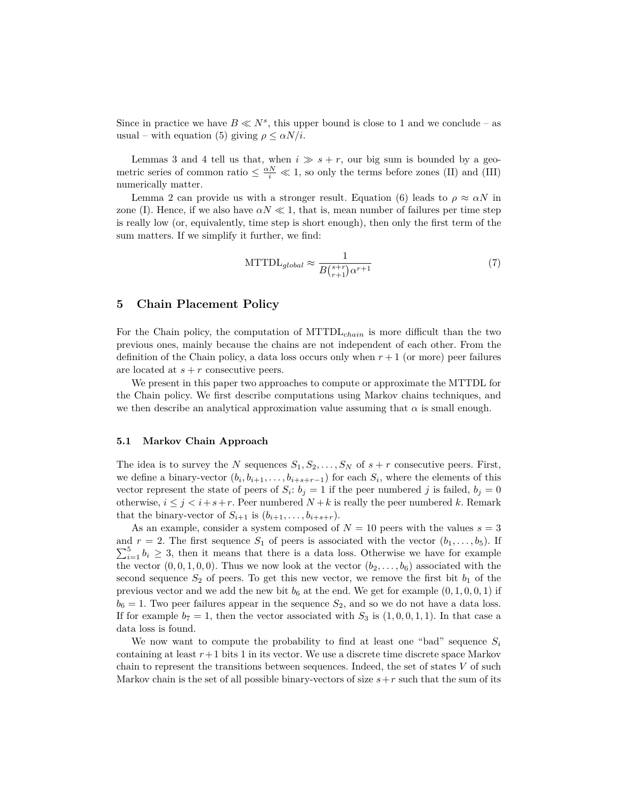Since in practice we have  $B \ll N^s$ , this upper bound is close to 1 and we conclude – as usual – with equation (5) giving  $\rho \leq \alpha N/i$ .

Lemmas 3 and 4 tell us that, when  $i \gg s + r$ , our big sum is bounded by a geometric series of common ratio  $\leq \frac{\alpha N}{i} \ll 1$ , so only the terms before zones (II) and (III) numerically matter.

Lemma 2 can provide us with a stronger result. Equation (6) leads to  $\rho \approx \alpha N$  in zone (I). Hence, if we also have  $\alpha N \ll 1$ , that is, mean number of failures per time step is really low (or, equivalently, time step is short enough), then only the first term of the sum matters. If we simplify it further, we find:

$$
\text{MTTDL}_{global} \approx \frac{1}{B\binom{s+r}{r+1}\alpha^{r+1}}\tag{7}
$$

### **5 Chain Placement Policy**

For the Chain policy, the computation of MTTDL*chain* is more difficult than the two previous ones, mainly because the chains are not independent of each other. From the definition of the Chain policy, a data loss occurs only when  $r + 1$  (or more) peer failures are located at  $s + r$  consecutive peers.

We present in this paper two approaches to compute or approximate the MTTDL for the Chain policy. We first describe computations using Markov chains techniques, and we then describe an analytical approximation value assuming that  $\alpha$  is small enough.

#### **5.1 Markov Chain Approach**

The idea is to survey the *N* sequences  $S_1, S_2, \ldots, S_N$  of  $s + r$  consecutive peers. First, we define a binary-vector  $(b_i, b_{i+1}, \ldots, b_{i+s+r-1})$  for each  $S_i$ , where the elements of this vector represent the state of peers of  $S_i$ :  $b_j = 1$  if the peer numbered *j* is failed,  $b_j = 0$ otherwise,  $i \leq j < i+s+r$ . Peer numbered  $N+k$  is really the peer numbered k. Remark that the binary-vector of  $S_{i+1}$  is  $(b_{i+1}, \ldots, b_{i+s+r})$ .

As an example, consider a system composed of  $N = 10$  peers with the values  $s = 3$  $\sum_{i=1}^{5} b_i \geq 3$ , then it means that there is a data loss. Otherwise we have for example and  $r = 2$ . The first sequence  $S_1$  of peers is associated with the vector  $(b_1, \ldots, b_5)$ . If the vector  $(0,0,1,0,0)$ . Thus we now look at the vector  $(b_2,\ldots,b_6)$  associated with the second sequence  $S_2$  of peers. To get this new vector, we remove the first bit  $b_1$  of the previous vector and we add the new bit  $b_6$  at the end. We get for example  $(0, 1, 0, 0, 1)$  if  $b_6 = 1$ . Two peer failures appear in the sequence  $S_2$ , and so we do not have a data loss. If for example  $b_7 = 1$ , then the vector associated with  $S_3$  is  $(1, 0, 0, 1, 1)$ . In that case a data loss is found.

We now want to compute the probability to find at least one "bad" sequence *S<sup>i</sup>* containing at least  $r+1$  bits 1 in its vector. We use a discrete time discrete space Markov chain to represent the transitions between sequences. Indeed, the set of states *V* of such Markov chain is the set of all possible binary-vectors of size  $s+r$  such that the sum of its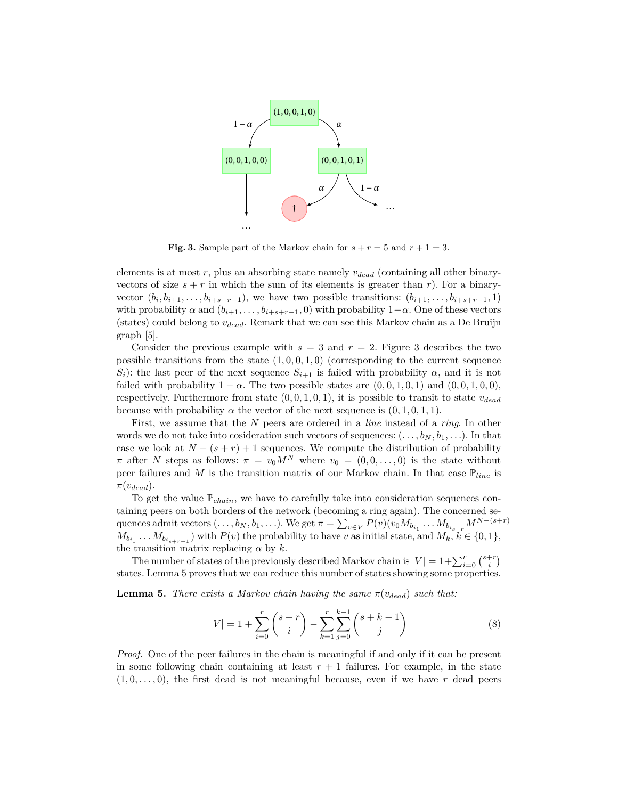

**Fig. 3.** Sample part of the Markov chain for  $s + r = 5$  and  $r + 1 = 3$ .

elements is at most *r*, plus an absorbing state namely *vdead* (containing all other binaryvectors of size  $s + r$  in which the sum of its elements is greater than  $r$ ). For a binaryvector  $(b_i, b_{i+1}, \ldots, b_{i+s+r-1})$ , we have two possible transitions:  $(b_{i+1}, \ldots, b_{i+s+r-1}, 1)$ with probability  $\alpha$  and  $(b_{i+1}, \ldots, b_{i+s+r-1}, 0)$  with probability  $1-\alpha$ . One of these vectors (states) could belong to *vdead*. Remark that we can see this Markov chain as a De Bruijn graph [5].

Consider the previous example with  $s = 3$  and  $r = 2$ . Figure 3 describes the two possible transitions from the state  $(1, 0, 0, 1, 0)$  (corresponding to the current sequence  $S_i$ : the last peer of the next sequence  $S_{i+1}$  is failed with probability  $\alpha$ , and it is not failed with probability  $1 - \alpha$ . The two possible states are  $(0, 0, 1, 0, 1)$  and  $(0, 0, 1, 0, 0)$ , respectively. Furthermore from state  $(0, 0, 1, 0, 1)$ , it is possible to transit to state  $v_{dead}$ because with probability  $\alpha$  the vector of the next sequence is  $(0, 1, 0, 1, 1)$ .

First, we assume that the *N* peers are ordered in a *line* instead of a *ring*. In other words we do not take into cosideration such vectors of sequences:  $(\ldots, b_N, b_1, \ldots)$ . In that case we look at  $N - (s + r) + 1$  sequences. We compute the distribution of probability *π* after *N* steps as follows:  $\pi = v_0 M^N$  where  $v_0 = (0, 0, \ldots, 0)$  is the state without peer failures and M is the transition matrix of our Markov chain. In that case  $\mathbb{P}_{line}$  is *π*(*vdead*).

To get the value P*chain*, we have to carefully take into consideration sequences containing peers on both borders of the network (becoming a ring again). The concerned sequences admit vectors  $(\ldots, b_N, b_1, \ldots)$ . We get  $\pi = \sum_{v \in V} P(v) (v_0 M_{b_{i_1}} \ldots M_{b_{i_{s+r}}} M^{N-(s+r)})$  $M_{b_{i_1}} \ldots M_{b_{i_{s+r-1}}}$  with  $P(v)$  the probability to have *v* as initial state, and  $M_k, k \in \{0, 1\}$ , the transition matrix replacing  $\alpha$  by  $k$ .

The number of states of the previously described Markov chain is  $|V| = 1 + \sum_{i=0}^{r} {s+r \choose i}$ states. Lemma 5 proves that we can reduce this number of states showing some properties.

**Lemma 5.** *There exists a Markov chain having the same*  $\pi(v_{dead})$  *such that:* 

$$
|V| = 1 + \sum_{i=0}^{r} {s+r \choose i} - \sum_{k=1}^{r} \sum_{j=0}^{k-1} {s+k-1 \choose j} \tag{8}
$$

*Proof.* One of the peer failures in the chain is meaningful if and only if it can be present in some following chain containing at least  $r + 1$  failures. For example, in the state  $(1,0,\ldots,0)$ , the first dead is not meaningful because, even if we have r dead peers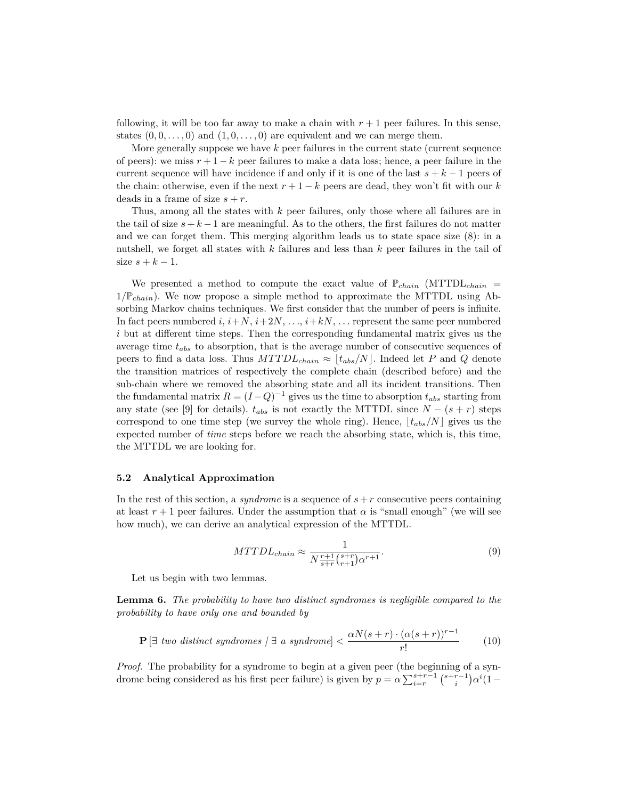following, it will be too far away to make a chain with  $r + 1$  peer failures. In this sense, states  $(0,0,\ldots,0)$  and  $(1,0,\ldots,0)$  are equivalent and we can merge them.

More generally suppose we have *k* peer failures in the current state (current sequence of peers): we miss  $r + 1 - k$  peer failures to make a data loss; hence, a peer failure in the current sequence will have incidence if and only if it is one of the last *s* + *k* − 1 peers of the chain: otherwise, even if the next  $r + 1 - k$  peers are dead, they won't fit with our  $k$ deads in a frame of size  $s + r$ .

Thus, among all the states with *k* peer failures, only those where all failures are in the tail of size  $s + k - 1$  are meaningful. As to the others, the first failures do not matter and we can forget them. This merging algorithm leads us to state space size (8): in a nutshell, we forget all states with *k* failures and less than *k* peer failures in the tail of size  $s + k - 1$ .

We presented a method to compute the exact value of  $\mathbb{P}_{chain}$  (MTTDL<sub>chain</sub> = 1*/*P*chain*). We now propose a simple method to approximate the MTTDL using Absorbing Markov chains techniques. We first consider that the number of peers is infinite. In fact peers numbered  $i$ ,  $i+N$ ,  $i+2N$ ,  $\dots$ ,  $i+kN$ ,  $\dots$  represent the same peer numbered *i* but at different time steps. Then the corresponding fundamental matrix gives us the average time *tabs* to absorption, that is the average number of consecutive sequences of peers to find a data loss. Thus  $MTTDL_{chain} \approx \lfloor t_{abs}/N \rfloor$ . Indeed let *P* and *Q* denote the transition matrices of respectively the complete chain (described before) and the sub-chain where we removed the absorbing state and all its incident transitions. Then the fundamental matrix  $R = (I - Q)^{-1}$  gives us the time to absorption  $t_{abs}$  starting from any state (see [9] for details).  $t_{abs}$  is not exactly the MTTDL since  $N - (s + r)$  steps correspond to one time step (we survey the whole ring). Hence,  $|t_{abs}/N|$  gives us the expected number of *time* steps before we reach the absorbing state, which is, this time, the MTTDL we are looking for.

#### **5.2 Analytical Approximation**

In the rest of this section, a *syndrome* is a sequence of  $s+r$  consecutive peers containing at least  $r + 1$  peer failures. Under the assumption that  $\alpha$  is "small enough" (we will see how much), we can derive an analytical expression of the MTTDL.

$$
MTTDL_{chain} \approx \frac{1}{N\frac{r+1}{s+r}\binom{s+r}{r+1}\alpha^{r+1}}.\tag{9}
$$

Let us begin with two lemmas.

**Lemma 6.** *The probability to have two distinct syndromes is negligible compared to the probability to have only one and bounded by*

$$
\mathbf{P} \left[ \exists \text{ two distinct syndromes } \mid \exists \text{ a syndrome} \right] < \frac{\alpha N(s+r) \cdot (\alpha (s+r))^{r-1}}{r!} \tag{10}
$$

*Proof.* The probability for a syndrome to begin at a given peer (the beginning of a syndrome being considered as his first peer failure) is given by  $p = \alpha \sum_{i=r}^{s+r-1} {s+r-1 \choose i} \alpha^{i} (1-r)^{i}$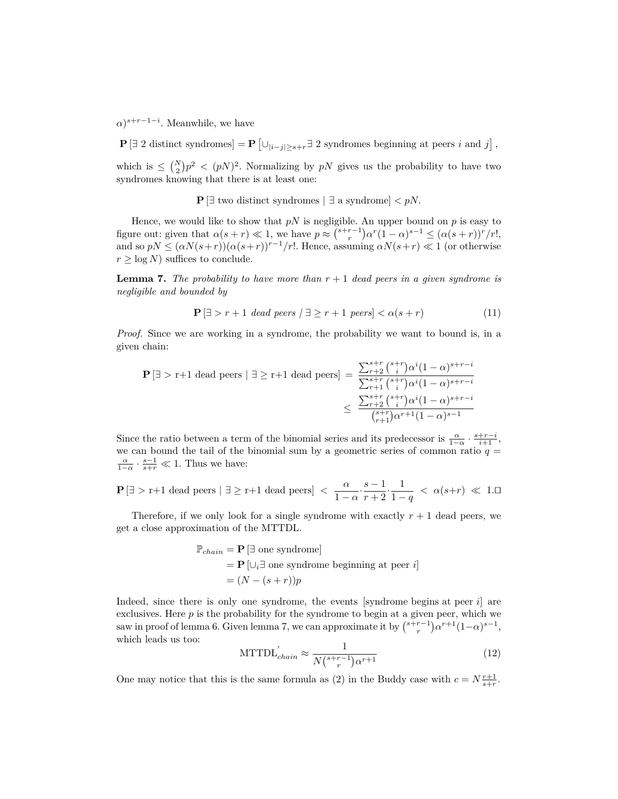$\alpha$ )<sup>s+r−1−*i*</sub>. Meanwhile, we have</sup>

 $\mathbf{P}[\exists 2 \text{ distinct syndromes}] = \mathbf{P} \left[ \cup_{|i-j| \geq s+r} \exists 2 \text{ syndromes beginning at peers } i \text{ and } j \right],$ 

which is  $\leq {N \choose 2} p^2 < (pN)^2$ . Normalizing by  $pN$  gives us the probability to have two syndromes knowing that there is at least one:

**P**  $\exists$  two distinct syndromes  $\exists$  a syndrome $\leq pN$ .

Hence, we would like to show that  $pN$  is negligible. An upper bound on  $p$  is easy to figure out: given that  $\alpha(s+r) \ll 1$ , we have  $p \approx {\binom{s+r-1}{r}} \alpha^r (1-\alpha)^{s-1} \leq (\alpha(s+r))^r / r!$ , and so  $pN \leq (\alpha N(s+r))(\alpha(s+r))^{r-1}/r!$ . Hence, assuming  $\alpha N(s+r) \ll 1$  (or otherwise  $r \geq \log N$ ) suffices to conclude.

**Lemma 7.** The probability to have more than  $r + 1$  dead peers in a given syndrome is *negligible and bounded by*

$$
\mathbf{P} \left[ \exists > r+1 \text{ dead peers } / \exists \geq r+1 \text{ peers } < \alpha(s+r) \right] \tag{11}
$$

*Proof.* Since we are working in a syndrome, the probability we want to bound is, in a given chain:

$$
\begin{aligned} \mathbf{P} \left[ \exists > r+1 \text{ dead peers} \mid \exists \geq r+1 \text{ dead peers} \right] &= \frac{\sum_{r+2}^{s+r} \binom{s+r}{i} \alpha^i (1-\alpha)^{s+r-i}}{\sum_{r+1}^{s+r} \binom{s+r}{i} \alpha^i (1-\alpha)^{s+r-i}} \\ &\leq \frac{\sum_{r+2}^{s+r} \binom{s+r}{i} \alpha^i (1-\alpha)^{s+r-i}}{\binom{s+r}{r+1} \alpha^{r+1} (1-\alpha)^{s-1}} \end{aligned}
$$

Since the ratio between a term of the binomial series and its predecessor is  $\frac{\alpha}{1-\alpha} \cdot \frac{s+r-i}{i+1}$ , we can bound the tail of the binomial sum by a geometric series of common ratio  $q =$  $\frac{\alpha}{1-\alpha} \cdot \frac{s-1}{s+r} \ll 1$ . Thus we have:

$$
\mathbf{P}\left[\exists > r+1 \text{ dead peers} \mid \exists \geq r+1 \text{ dead peers}\right] < \frac{\alpha}{1-\alpha} \cdot \frac{s-1}{r+2} \cdot \frac{1}{1-q} < \alpha(s+r) \ll 1. \Box
$$

Therefore, if we only look for a single syndrome with exactly  $r + 1$  dead peers, we get a close approximation of the MTTDL.

$$
\mathbb{P}_{chain} = \mathbf{P} [\exists \text{ one syndrome}]
$$
  
=  $\mathbf{P} [\cup_i \exists \text{ one syndrome beginning at peer } i]$   
=  $(N - (s + r))p$ 

Indeed, since there is only one syndrome, the events [syndrome begins at peer *i*] are exclusives. Here  $p$  is the probability for the syndrome to begin at a given peer, which we saw in proof of lemma 6. Given lemma 7, we can approximate it by  $\binom{s+r-1}{r} \alpha^{r+1} (1-\alpha)^{s-1}$ , which leads us too:

$$
\text{MTTDL}_{chain}^{'} \approx \frac{1}{N \binom{s+r-1}{r} \alpha^{r+1}} \tag{12}
$$

One may notice that this is the same formula as (2) in the Buddy case with  $c = N \frac{r+1}{s+r}$ .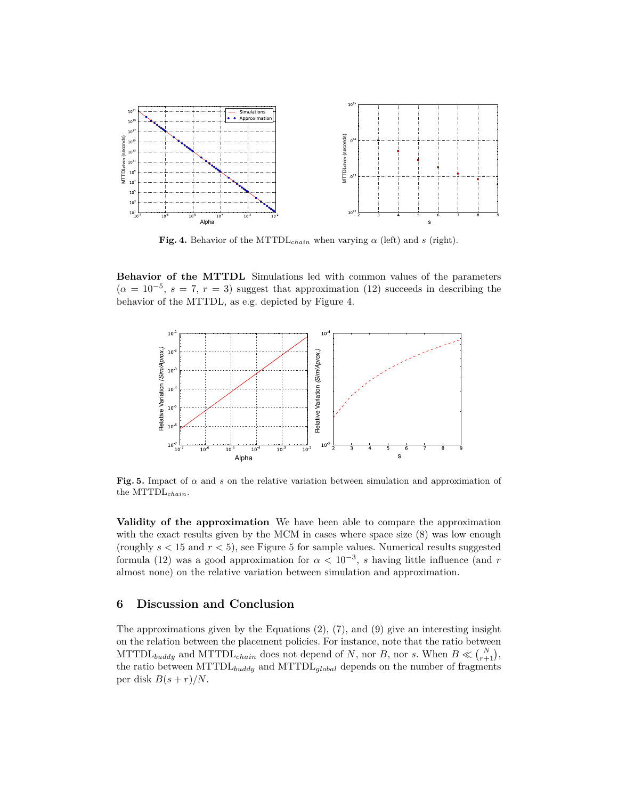

**Fig. 4.** Behavior of the MTTDL<sub>chain</sub> when varying  $\alpha$  (left) and *s* (right).

**Behavior of the MTTDL** Simulations led with common values of the parameters  $(\alpha = 10^{-5}, s = 7, r = 3)$  suggest that approximation (12) succeeds in describing the behavior of the MTTDL, as e.g. depicted by Figure 4.



**Fig. 5.** Impact of  $\alpha$  and  $s$  on the relative variation between simulation and approximation of the MTTDL*chain*.

**Validity of the approximation** We have been able to compare the approximation with the exact results given by the MCM in cases where space size  $(8)$  was low enough (roughly  $s < 15$  and  $r < 5$ ), see Figure 5 for sample values. Numerical results suggested formula (12) was a good approximation for  $\alpha < 10^{-3}$ , *s* having little influence (and *r* almost none) on the relative variation between simulation and approximation.

# **6 Discussion and Conclusion**

The approximations given by the Equations  $(2)$ ,  $(7)$ , and  $(9)$  give an interesting insight on the relation between the placement policies. For instance, note that the ratio between MTTDL<sub>buddy</sub> and MTTDL<sub>chain</sub> does not depend of *N*, nor *B*, nor *s*. When  $B \ll {N \choose r+1}$ , the ratio between MTTDL*buddy* and MTTDL*global* depends on the number of fragments per disk  $B(s+r)/N$ .